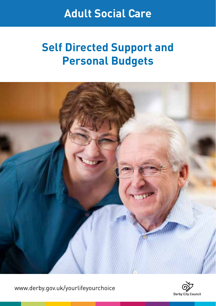## **Adult Social Care**

# **Self Directed Support and Personal Budgets**



www.derby.gov.uk/yourlifeyourchoice

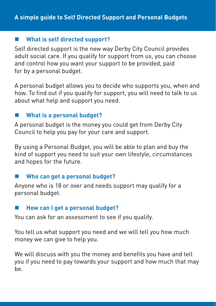#### **What is self directed support?**

Self directed support is the new way Derby City Council provides adult social care. If you qualify for support from us, you can choose and control how you want your support to be provided, paid for by a personal budget.

A personal budget allows you to decide who supports you, when and how. To find out if you qualify for support, you will need to talk to us about what help and support you need.

#### **What is a personal budget?**

A personal budget is the money you could get from Derby City Council to help you pay for your care and support.

By using a Personal Budget, you will be able to plan and buy the kind of support you need to suit your own lifestyle, circumstances and hopes for the future.

#### **Who can get a personal budget?**

Anyone who is 18 or over and needs support may qualify for a personal budget.

#### **How can I get a personal budget?**

You can ask for an assessment to see if you qualify.

You tell us what support you need and we will tell you how much money we can give to help you.

We will discuss with you the money and benefits you have and tell you if you need to pay towards your support and how much that may be.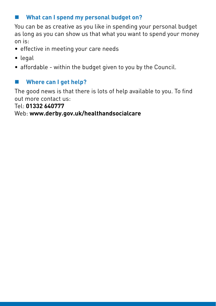### **What can I spend my personal budget on?**

You can be as creative as you like in spending your personal budget as long as you can show us that what you want to spend your money on is:

- effective in meeting your care needs
- legal
- affordable within the budget given to you by the Council.

#### **Where can I get help?**

The good news is that there is lots of help available to you. To find out more contact us:

Tel: **01332 640777**

Web: **www.derby.gov.uk/healthandsocialcare**